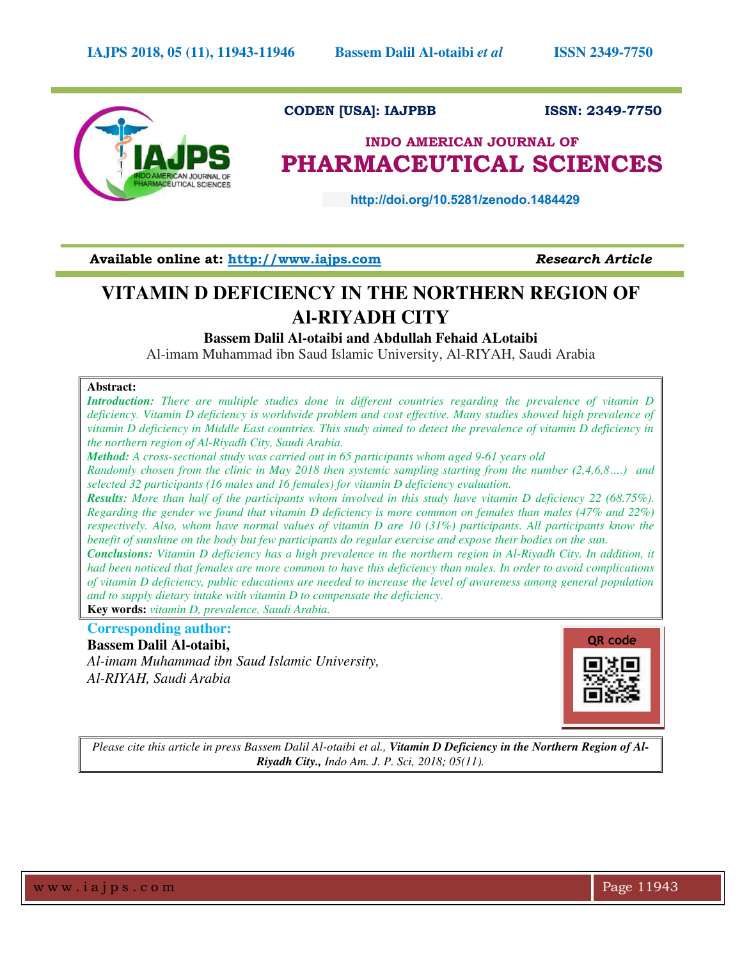

### **CODEN [USA]: IAJPBB ISSN: 2349-7750**

# **INDO AMERICAN JOURNAL OF PHARMACEUTICAL SCIENCES**

 **http://doi.org/10.5281/zenodo.1484429** 

Available online at: [http://www.iajps.com](http://www.iajps.com/) Research Article

# **VITAMIN D DEFICIENCY IN THE NORTHERN REGION OF Al-RIYADH CITY**

**Bassem Dalil Al-otaibi and Abdullah Fehaid ALotaibi**

Al-imam Muhammad ibn Saud Islamic University, Al-RIYAH, Saudi Arabia

#### **Abstract:**

*Introduction: There are multiple studies done in different countries regarding the prevalence of vitamin D deficiency. Vitamin D deficiency is worldwide problem and cost effective. Many studies showed high prevalence of vitamin D deficiency in Middle East countries. This study aimed to detect the prevalence of vitamin D deficiency in the northern region of Al-Riyadh City, Saudi Arabia.* 

*Method: A cross-sectional study was carried out in 65 participants whom aged 9-61 years old* 

*Randomly chosen from the clinic in May 2018 then systemic sampling starting from the number (2,4,6,8….) and selected 32 participants (16 males and 16 females) for vitamin D deficiency evaluation.* 

*Results: More than half of the participants whom involved in this study have vitamin D deficiency 22 (68.75%). Regarding the gender we found that vitamin D deficiency is more common on females than males (47% and 22%) respectively. Also, whom have normal values of vitamin D are 10 (31%) participants. All participants know the benefit of sunshine on the body but few participants do regular exercise and expose their bodies on the sun.* 

*Conclusions: Vitamin D deficiency has a high prevalence in the northern region in Al-Riyadh City. In addition, it had been noticed that females are more common to have this deficiency than males. In order to avoid complications of vitamin D deficiency, public educations are needed to increase the level of awareness among general population and to supply dietary intake with vitamin D to compensate the deficiency.* 

**Key words:** *vitamin D, prevalence, Saudi Arabia.* 

### **Corresponding author:**

**Bassem Dalil Al-otaibi,**  *Al-imam Muhammad ibn Saud Islamic University, Al-RIYAH, Saudi Arabia* 



*Please cite this article in press Bassem Dalil Al-otaibi et al., Vitamin D Deficiency in the Northern Region of Al-Riyadh City., Indo Am. J. P. Sci, 2018; 05(11).*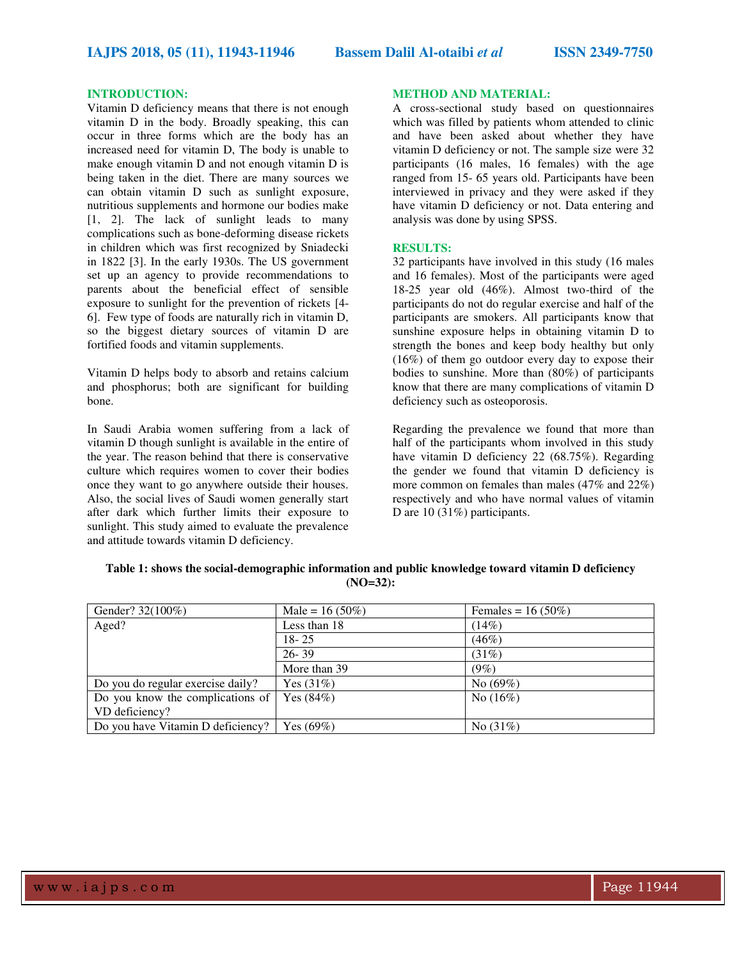#### **INTRODUCTION:**

Vitamin D deficiency means that there is not enough vitamin D in the body. Broadly speaking, this can occur in three forms which are the body has an increased need for vitamin D, The body is unable to make enough vitamin D and not enough vitamin D is being taken in the diet. There are many sources we can obtain vitamin D such as sunlight exposure, nutritious supplements and hormone our bodies make [1, 2]. The lack of sunlight leads to many complications such as bone-deforming disease rickets in children which was first recognized by Sniadecki in 1822 [3]. In the early 1930s. The US government set up an agency to provide recommendations to parents about the beneficial effect of sensible exposure to sunlight for the prevention of rickets [4- 6]. Few type of foods are naturally rich in vitamin D, so the biggest dietary sources of vitamin D are fortified foods and vitamin supplements.

Vitamin D helps body to absorb and retains calcium and phosphorus; both are significant for building bone.

In Saudi Arabia women suffering from a lack of vitamin D though sunlight is available in the entire of the year. The reason behind that there is conservative culture which requires women to cover their bodies once they want to go anywhere outside their houses. Also, the social lives of Saudi women generally start after dark which further limits their exposure to sunlight. This study aimed to evaluate the prevalence and attitude towards vitamin D deficiency.

#### **METHOD AND MATERIAL:**

A cross-sectional study based on questionnaires which was filled by patients whom attended to clinic and have been asked about whether they have vitamin D deficiency or not. The sample size were 32 participants (16 males, 16 females) with the age ranged from 15- 65 years old. Participants have been interviewed in privacy and they were asked if they have vitamin D deficiency or not. Data entering and analysis was done by using SPSS.

#### **RESULTS:**

32 participants have involved in this study (16 males and 16 females). Most of the participants were aged 18-25 year old (46%). Almost two-third of the participants do not do regular exercise and half of the participants are smokers. All participants know that sunshine exposure helps in obtaining vitamin D to strength the bones and keep body healthy but only (16%) of them go outdoor every day to expose their bodies to sunshine. More than (80%) of participants know that there are many complications of vitamin D deficiency such as osteoporosis.

Regarding the prevalence we found that more than half of the participants whom involved in this study have vitamin D deficiency 22 (68.75%). Regarding the gender we found that vitamin D deficiency is more common on females than males (47% and 22%) respectively and who have normal values of vitamin D are 10 (31%) participants.

**Table 1: shows the social-demographic information and public knowledge toward vitamin D deficiency (NO=32):** 

| Gender? 32(100%)                         | Male = $16(50\%)$ | Females = $16 (50\%)$ |
|------------------------------------------|-------------------|-----------------------|
| Aged?                                    | Less than 18      | $(14\%)$              |
|                                          | $18 - 25$         | (46%)                 |
|                                          | $26 - 39$         | (31%)                 |
|                                          | More than 39      | $(9\%)$               |
| Do you do regular exercise daily?        | Yes $(31%)$       | No $(69%)$            |
| Do you know the complications of $\vert$ | Yes $(84%)$       | No $(16\%)$           |
| VD deficiency?                           |                   |                       |
| Do you have Vitamin D deficiency?        | Yes $(69\%)$      | No $(31%)$            |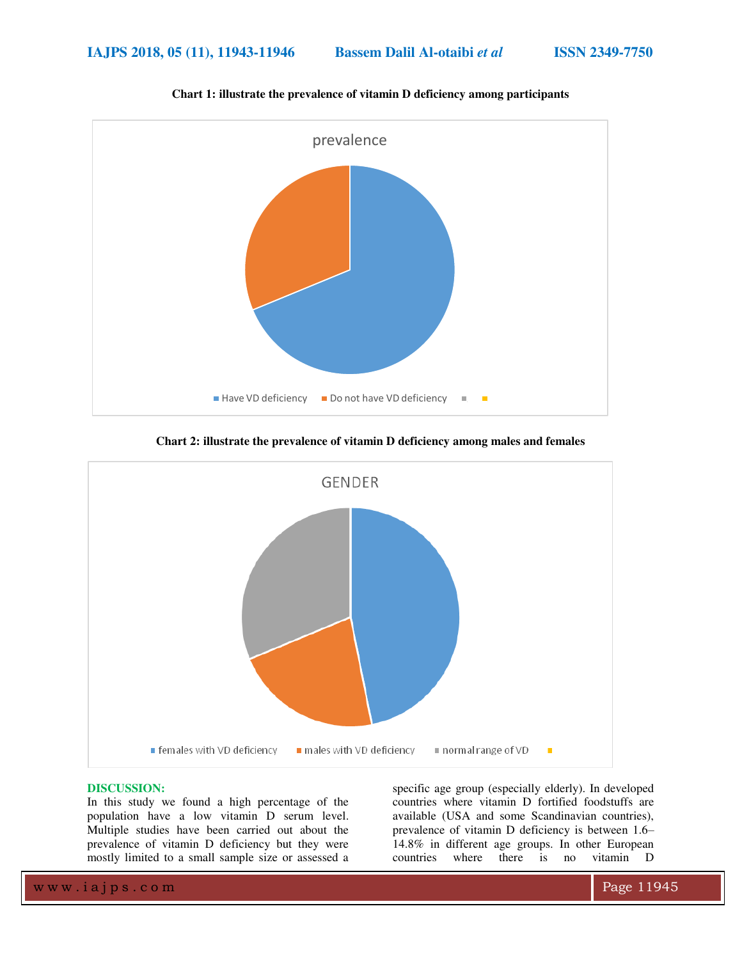

**Chart 1: illustrate the prevalence of vitamin D deficiency among participants** 

**Chart 2: illustrate the prevalence of vitamin D deficiency among males and females** 



#### **DISCUSSION:**

In this study we found a high percentage of the population have a low vitamin D serum level. Multiple studies have been carried out about the prevalence of vitamin D deficiency but they were mostly limited to a small sample size or assessed a

specific age group (especially elderly). In developed countries where vitamin D fortified foodstuffs are available (USA and some Scandinavian countries), prevalence of vitamin D deficiency is between 1.6– 14.8% in different age groups. In other European countries where there is no vitamin D